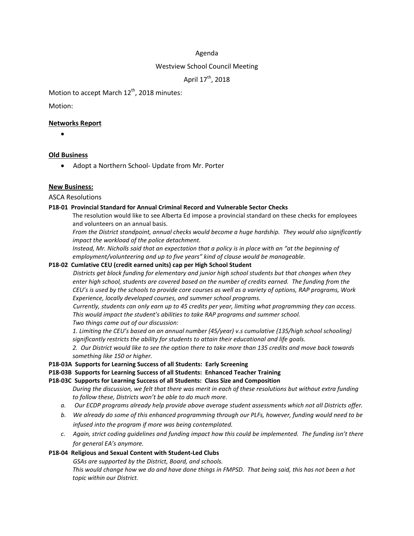## Agenda

## Westview School Council Meeting

April 17<sup>th</sup>, 2018

Motion to accept March  $12<sup>th</sup>$ , 2018 minutes:

Motion:

## **Networks Report**

•

## **Old Business**

• Adopt a Northern School- Update from Mr. Porter

## **New Business:**

ASCA Resolutions

#### **P18-01 Provincial Standard for Annual Criminal Record and Vulnerable Sector Checks**

The resolution would like to see Alberta Ed impose a provincial standard on these checks for employees and volunteers on an annual basis.

*From the District standpoint, annual checks would become a huge hardship. They would also significantly impact the workload of the police detachment.*

Instead, Mr. Nicholls said that an expectation that a policy is in place with an "at the beginning of *employment/volunteering and up to five years" kind of clause would be manageable.*

#### **P18-02 Cumlative CEU (credit earned units) cap per High School Student**

*Districts get block funding for elementary and junior high school students but that changes when they enter high school, students are covered based on the number of credits earned. The funding from the* CEU's is used by the schools to provide core courses as well as a variety of options, RAP programs, Work *Experience, locally developed courses, and summer school programs.*

*Currently, students can only earn up to 45 credits per year, limiting what programming they can access. This would impact the student's abilities to take RAP programs and summer school. Two things came out of our discussion:*

*1. Limiting the CEU's based on an annual number (45/year) v.s cumulative (135/high school schooling) significantly restricts the ability for students to attain their educational and life goals.*

2. Our District would like to see the option there to take more than 135 credits and move back towards *something like 150 or higher.*

#### **P18-03A Supports for Learning Success of all Students: Early Screening**

#### **P18-03B Supports for Learning Success of all Students: Enhanced Teacher Training**

#### **P18-03C Supports for Learning Success of all Students: Class Size and Composition**

During the discussion, we felt that there was merit in each of these resolutions but without extra funding *to follow these, Districts won't be able to do much more.* 

- *a. Our ECDP programs already help provide above average student assessments which not all Districts offer.*
- b. We already do some of this enhanced programming through our PLFs, however, funding would need to be *infused into the program if more was being contemplated.*
- *c. Again, strict coding guidelines and funding impact how this could be implemented. The funding isn't there for general EA's anymore.*

## **P18-04 Religious and Sexual Content with Student-Led Clubs**

*GSAs are supported by the District, Board, and schools.*

This would change how we do and have done things in FMPSD. That being said, this has not been a hot *topic within our District.*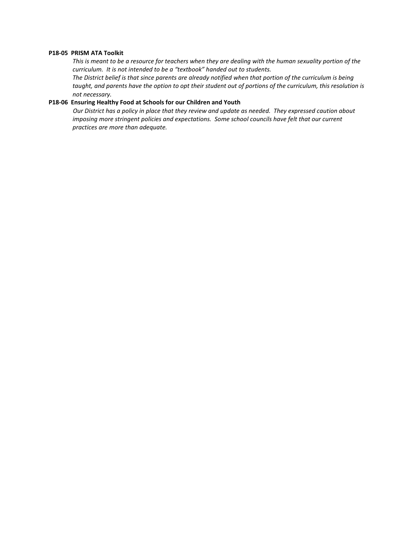## **P18-05 PRISM ATA Toolkit**

This is meant to be a resource for teachers when they are dealing with the human sexuality portion of the *curriculum. It is not intended to be a "textbook" handed out to students.*

The District belief is that since parents are already notified when that portion of the curriculum is being taught, and parents have the option to opt their student out of portions of the curriculum, this resolution is *not necessary.*

#### **P18-06 Ensuring Healthy Food at Schools for our Children and Youth**

*Our District has a policy in place that they review and update as needed. They expressed caution about imposing more stringent policies and expectations. Some school councils have felt that our current practices are more than adequate.*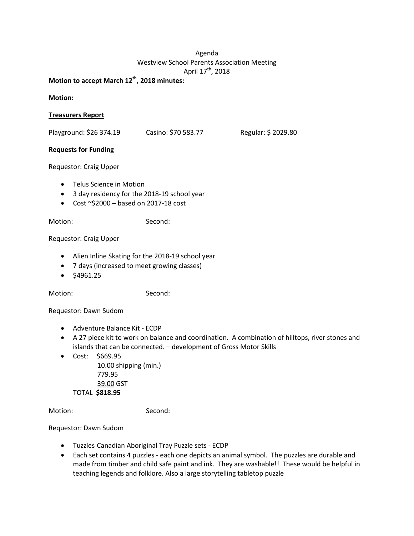# Agenda Westview School Parents Association Meeting April 17<sup>th</sup>, 2018

**Motion to accept March 12th, 2018 minutes:**

**Motion:**

# **Treasurers Report**

Playground: \$26 374.19 Casino: \$70 583.77 Regular: \$ 2029.80

# **Requests for Funding**

Requestor: Craig Upper

- Telus Science in Motion
- 3 day residency for the 2018-19 school year
- Cost  $\sim$ \$2000 based on 2017-18 cost

Motion: Second:

Requestor: Craig Upper

- Alien Inline Skating for the 2018-19 school year
- 7 days (increased to meet growing classes)
- \$4961.25

Motion: Second:

Requestor: Dawn Sudom

- Adventure Balance Kit ECDP
- A 27 piece kit to work on balance and coordination. A combination of hilltops, river stones and islands that can be connected. – development of Gross Motor Skills
- Cost: \$669.95

10.00 shipping (min.) 779.95 39.00 GST TOTAL **\$818.95**

Motion: Second:

## Requestor: Dawn Sudom

- Tuzzles Canadian Aboriginal Tray Puzzle sets ECDP
- Each set contains 4 puzzles each one depicts an animal symbol. The puzzles are durable and made from timber and child safe paint and ink. They are washable!! These would be helpful in teaching legends and folklore. Also a large storytelling tabletop puzzle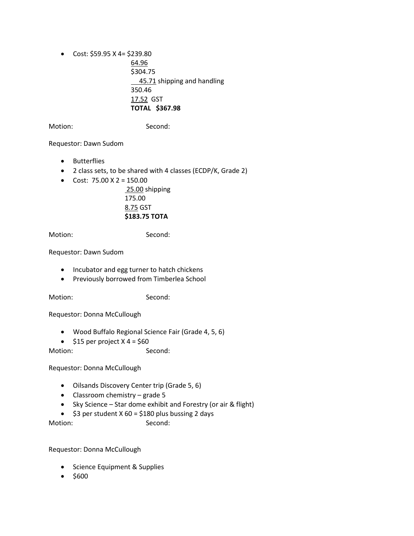• Cost:  $$59.95 \text{ X } 4 = $239.80$ 64.96 \$304.75 **45.71** shipping and handling 350.46 17.52 GST **TOTAL \$367.98**

Motion: Second:

Requestor: Dawn Sudom

- Butterflies
- 2 class sets, to be shared with 4 classes (ECDP/K, Grade 2)
- Cost:  $75.00 \text{ X } 2 = 150.00$

25.00 shipping 175.00 8.75 GST **\$183.75 TOTA**

Motion: Second:

Requestor: Dawn Sudom

- Incubator and egg turner to hatch chickens
- Previously borrowed from Timberlea School

Motion: Second:

Requestor: Donna McCullough

- Wood Buffalo Regional Science Fair (Grade 4, 5, 6)
- $$15$  per project X 4 = \$60

Motion: Second:

Requestor: Donna McCullough

- Oilsands Discovery Center trip (Grade 5, 6)
- Classroom chemistry grade 5
- Sky Science Star dome exhibit and Forestry (or air & flight)
- $$3$  per student X 60 = \$180 plus bussing 2 days

Motion: Second:

Requestor: Donna McCullough

- Science Equipment & Supplies
- \$600